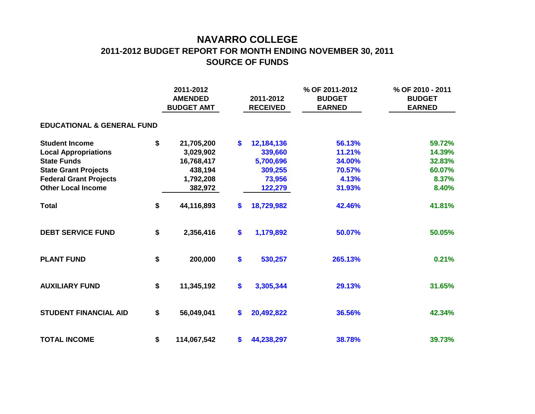## **NAVARRO COLLEGE 2011-2012 BUDGET REPORT FOR MONTH ENDING NOVEMBER 30, 2011 SOURCE OF FUNDS**

|                                       |    | 2011-2012<br><b>AMENDED</b><br><b>BUDGET AMT</b> |    | 2011-2012<br><b>RECEIVED</b> | % OF 2011-2012<br><b>BUDGET</b><br><b>EARNED</b> | % OF 2010 - 2011<br><b>BUDGET</b><br><b>EARNED</b> |  |  |  |  |  |  |  |  |
|---------------------------------------|----|--------------------------------------------------|----|------------------------------|--------------------------------------------------|----------------------------------------------------|--|--|--|--|--|--|--|--|
| <b>EDUCATIONAL &amp; GENERAL FUND</b> |    |                                                  |    |                              |                                                  |                                                    |  |  |  |  |  |  |  |  |
| <b>Student Income</b>                 | \$ | 21,705,200                                       | \$ | 12,184,136                   | 56.13%                                           | 59.72%                                             |  |  |  |  |  |  |  |  |
| <b>Local Appropriations</b>           |    | 3,029,902                                        |    | 339,660                      | 11.21%                                           | 14.39%                                             |  |  |  |  |  |  |  |  |
| <b>State Funds</b>                    |    | 16,768,417                                       |    | 5,700,696                    | 34.00%                                           | 32.83%                                             |  |  |  |  |  |  |  |  |
| <b>State Grant Projects</b>           |    | 438,194                                          |    | 309,255                      | 70.57%                                           | 60.07%                                             |  |  |  |  |  |  |  |  |
| <b>Federal Grant Projects</b>         |    | 1,792,208                                        |    | 73,956                       | 4.13%                                            | 8.37%                                              |  |  |  |  |  |  |  |  |
| <b>Other Local Income</b>             |    | 382,972                                          |    | 122,279                      | 31.93%                                           | 8.40%                                              |  |  |  |  |  |  |  |  |
| <b>Total</b>                          | \$ | 44,116,893                                       | \$ | 18,729,982                   | 42.46%                                           | 41.81%                                             |  |  |  |  |  |  |  |  |
| <b>DEBT SERVICE FUND</b>              | \$ | 2,356,416                                        | \$ | 1,179,892                    | 50.07%                                           | 50.05%                                             |  |  |  |  |  |  |  |  |
| <b>PLANT FUND</b>                     | \$ | 200,000                                          | \$ | 530,257                      | 265.13%                                          | 0.21%                                              |  |  |  |  |  |  |  |  |
| <b>AUXILIARY FUND</b>                 | \$ | 11,345,192                                       | \$ | 3,305,344                    | 29.13%                                           | 31.65%                                             |  |  |  |  |  |  |  |  |
| <b>STUDENT FINANCIAL AID</b>          | \$ | 56,049,041                                       | \$ | 20,492,822                   | 36.56%                                           | 42.34%                                             |  |  |  |  |  |  |  |  |
| <b>TOTAL INCOME</b>                   | \$ | 114,067,542                                      | \$ | 44,238,297                   | 38.78%                                           | 39.73%                                             |  |  |  |  |  |  |  |  |